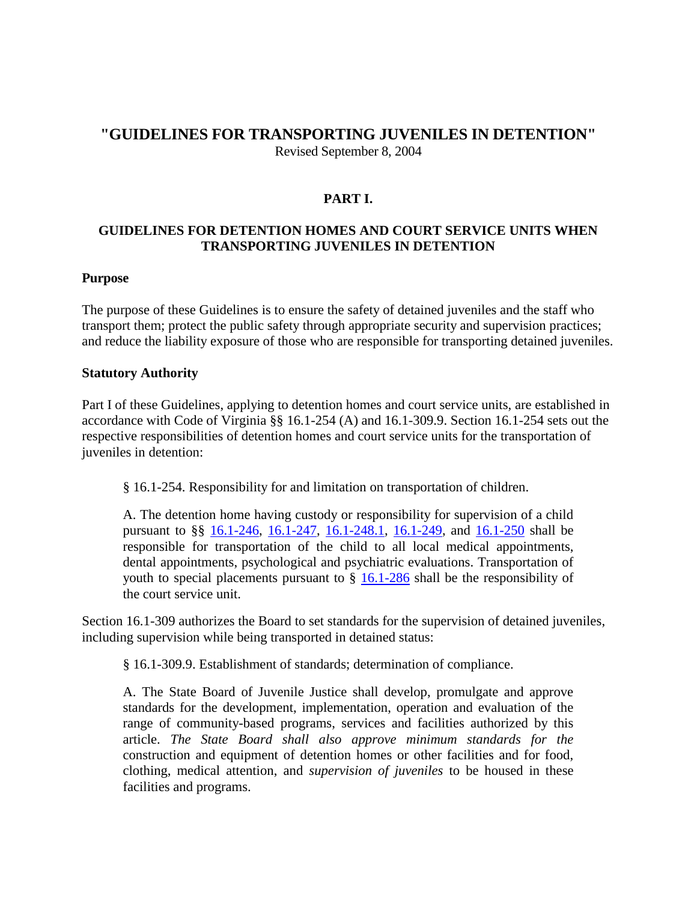# **"GUIDELINES FOR TRANSPORTING JUVENILES IN DETENTION"** Revised September 8, 2004

## **PART I.**

## **GUIDELINES FOR DETENTION HOMES AND COURT SERVICE UNITS WHEN TRANSPORTING JUVENILES IN DETENTION**

#### **Purpose**

The purpose of these Guidelines is to ensure the safety of detained juveniles and the staff who transport them; protect the public safety through appropriate security and supervision practices; and reduce the liability exposure of those who are responsible for transporting detained juveniles.

#### **Statutory Authority**

Part I of these Guidelines, applying to detention homes and court service units, are established in accordance with Code of Virginia §§ 16.1-254 (A) and 16.1-309.9. Section 16.1-254 sets out the respective responsibilities of detention homes and court service units for the transportation of juveniles in detention:

§ 16.1-254. Responsibility for and limitation on transportation of children.

A. The detention home having custody or responsibility for supervision of a child pursuant to §§ [16.1-246,](http://leg1.state.va.us/cgi-bin/legp504.exe?000+cod+16.1-246) [16.1-247,](http://leg1.state.va.us/cgi-bin/legp504.exe?000+cod+16.1-247) [16.1-248.1,](http://leg1.state.va.us/cgi-bin/legp504.exe?000+cod+16.1-248.1) [16.1-249,](http://leg1.state.va.us/cgi-bin/legp504.exe?000+cod+16.1-249) and [16.1-250](http://leg1.state.va.us/cgi-bin/legp504.exe?000+cod+16.1-250) shall be responsible for transportation of the child to all local medical appointments, dental appointments, psychological and psychiatric evaluations. Transportation of youth to special placements pursuant to  $\S$  [16.1-286](http://leg1.state.va.us/cgi-bin/legp504.exe?000+cod+16.1-286) shall be the responsibility of the court service unit.

Section 16.1-309 authorizes the Board to set standards for the supervision of detained juveniles, including supervision while being transported in detained status:

§ 16.1-309.9. Establishment of standards; determination of compliance.

A. The State Board of Juvenile Justice shall develop, promulgate and approve standards for the development, implementation, operation and evaluation of the range of community-based programs, services and facilities authorized by this article. *The State Board shall also approve minimum standards for the* construction and equipment of detention homes or other facilities and for food, clothing, medical attention, and *supervision of juveniles* to be housed in these facilities and programs.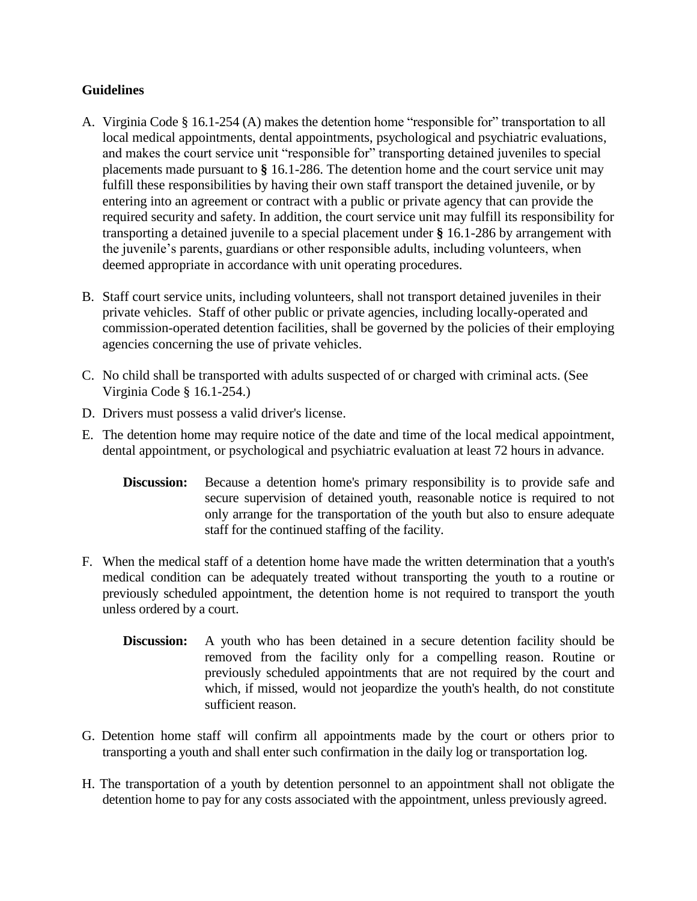# **Guidelines**

- A. Virginia Code § 16.1-254 (A) makes the detention home "responsible for" transportation to all local medical appointments, dental appointments, psychological and psychiatric evaluations, and makes the court service unit "responsible for" transporting detained juveniles to special placements made pursuant to **§** [16.1-286.](http://leg1.state.va.us/cgi-bin/legp504.exe?000+cod+16.1-286) The detention home and the court service unit may fulfill these responsibilities by having their own staff transport the detained juvenile, or by entering into an agreement or contract with a public or private agency that can provide the required security and safety. In addition, the court service unit may fulfill its responsibility for transporting a detained juvenile to a special placement under **§** [16.1-286](http://leg1.state.va.us/cgi-bin/legp504.exe?000+cod+16.1-286) by arrangement with the juvenile's parents, guardians or other responsible adults, including volunteers, when deemed appropriate in accordance with unit operating procedures.
- B. Staff court service units, including volunteers, shall not transport detained juveniles in their private vehicles. Staff of other public or private agencies, including locally-operated and commission-operated detention facilities, shall be governed by the policies of their employing agencies concerning the use of private vehicles.
- C. No child shall be transported with adults suspected of or charged with criminal acts. (See Virginia Code § 16.1-254.)
- D. Drivers must possess a valid driver's license.
- E. The detention home may require notice of the date and time of the local medical appointment, dental appointment, or psychological and psychiatric evaluation at least 72 hours in advance.
	- **Discussion:** Because a detention home's primary responsibility is to provide safe and secure supervision of detained youth, reasonable notice is required to not only arrange for the transportation of the youth but also to ensure adequate staff for the continued staffing of the facility.
- F. When the medical staff of a detention home have made the written determination that a youth's medical condition can be adequately treated without transporting the youth to a routine or previously scheduled appointment, the detention home is not required to transport the youth unless ordered by a court.
	- **Discussion:** A youth who has been detained in a secure detention facility should be removed from the facility only for a compelling reason. Routine or previously scheduled appointments that are not required by the court and which, if missed, would not jeopardize the youth's health, do not constitute sufficient reason.
- G. Detention home staff will confirm all appointments made by the court or others prior to transporting a youth and shall enter such confirmation in the daily log or transportation log.
- H. The transportation of a youth by detention personnel to an appointment shall not obligate the detention home to pay for any costs associated with the appointment, unless previously agreed.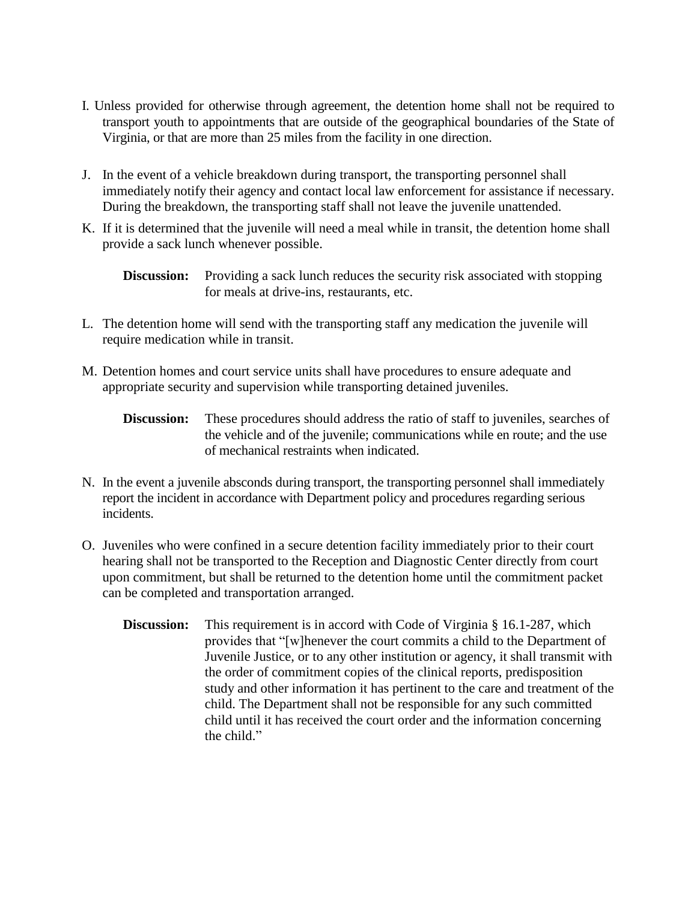- I. Unless provided for otherwise through agreement, the detention home shall not be required to transport youth to appointments that are outside of the geographical boundaries of the State of Virginia, or that are more than 25 miles from the facility in one direction.
- J. In the event of a vehicle breakdown during transport, the transporting personnel shall immediately notify their agency and contact local law enforcement for assistance if necessary. During the breakdown, the transporting staff shall not leave the juvenile unattended.
- K. If it is determined that the juvenile will need a meal while in transit, the detention home shall provide a sack lunch whenever possible.

**Discussion:** Providing a sack lunch reduces the security risk associated with stopping for meals at drive-ins, restaurants, etc.

- L. The detention home will send with the transporting staff any medication the juvenile will require medication while in transit.
- M. Detention homes and court service units shall have procedures to ensure adequate and appropriate security and supervision while transporting detained juveniles.
	- **Discussion:** These procedures should address the ratio of staff to juveniles, searches of the vehicle and of the juvenile; communications while en route; and the use of mechanical restraints when indicated.
- N. In the event a juvenile absconds during transport, the transporting personnel shall immediately report the incident in accordance with Department policy and procedures regarding serious incidents.
- O. Juveniles who were confined in a secure detention facility immediately prior to their court hearing shall not be transported to the Reception and Diagnostic Center directly from court upon commitment, but shall be returned to the detention home until the commitment packet can be completed and transportation arranged.
	- **Discussion:** This requirement is in accord with Code of Virginia § 16.1-287, which provides that "[w]henever the court commits a child to the Department of Juvenile Justice, or to any other institution or agency, it shall transmit with the order of commitment copies of the clinical reports, predisposition study and other information it has pertinent to the care and treatment of the child. The Department shall not be responsible for any such committed child until it has received the court order and the information concerning the child."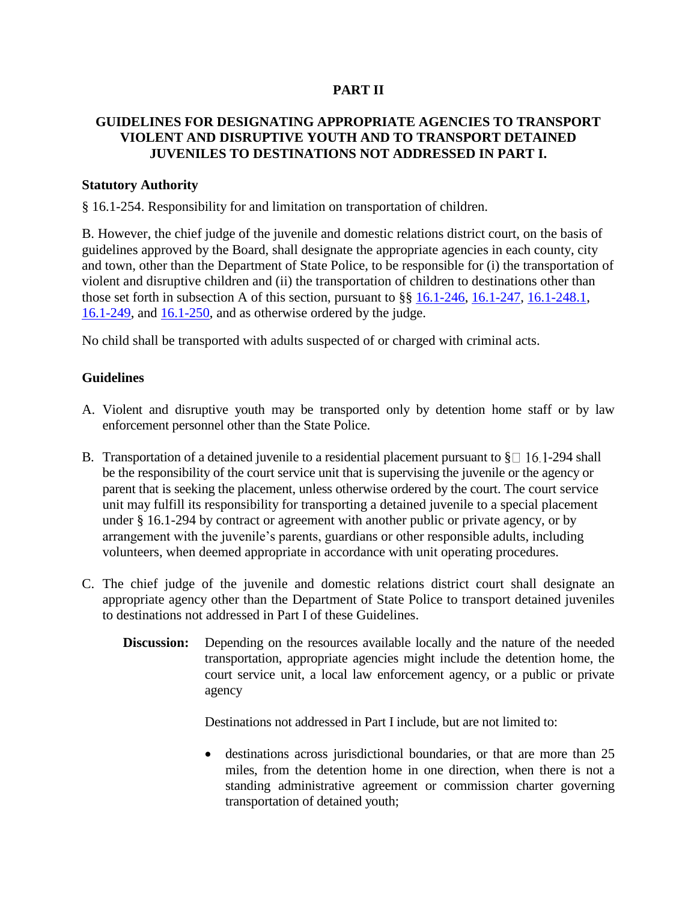# **PART II**

# **GUIDELINES FOR DESIGNATING APPROPRIATE AGENCIES TO TRANSPORT VIOLENT AND DISRUPTIVE YOUTH AND TO TRANSPORT DETAINED JUVENILES TO DESTINATIONS NOT ADDRESSED IN PART I.**

### **Statutory Authority**

§ 16.1-254. Responsibility for and limitation on transportation of children.

B. However, the chief judge of the juvenile and domestic relations district court, on the basis of guidelines approved by the Board, shall designate the appropriate agencies in each county, city and town, other than the Department of State Police, to be responsible for (i) the transportation of violent and disruptive children and (ii) the transportation of children to destinations other than those set forth in subsection A of this section, pursuant to §§ [16.1-246,](http://leg1.state.va.us/cgi-bin/legp504.exe?000+cod+16.1-246) [16.1-247,](http://leg1.state.va.us/cgi-bin/legp504.exe?000+cod+16.1-247) [16.1-248.1,](http://leg1.state.va.us/cgi-bin/legp504.exe?000+cod+16.1-248.1) [16.1-249,](http://leg1.state.va.us/cgi-bin/legp504.exe?000+cod+16.1-249) and [16.1-250,](http://leg1.state.va.us/cgi-bin/legp504.exe?000+cod+16.1-250) and as otherwise ordered by the judge.

No child shall be transported with adults suspected of or charged with criminal acts.

#### **Guidelines**

- A. Violent and disruptive youth may be transported only by detention home staff or by law enforcement personnel other than the State Police.
- B. Transportation of a detained juvenile to a residential placement pursuant to  $\S \Box$  16.1-294 shall be the responsibility of the court service unit that is supervising the juvenile or the agency or parent that is seeking the placement, unless otherwise ordered by the court. The court service unit may fulfill its responsibility for transporting a detained juvenile to a special placement under § [16.1-294](http://leg1.state.va.us/cgi-bin/legp504.exe?000+cod+16.1-286) by contract or agreement with another public or private agency, or by arrangement with the juvenile's parents, guardians or other responsible adults, including volunteers, when deemed appropriate in accordance with unit operating procedures.
- C. The chief judge of the juvenile and domestic relations district court shall designate an appropriate agency other than the Department of State Police to transport detained juveniles to destinations not addressed in Part I of these Guidelines.
	- **Discussion:** Depending on the resources available locally and the nature of the needed transportation, appropriate agencies might include the detention home, the court service unit, a local law enforcement agency, or a public or private agency

Destinations not addressed in Part I include, but are not limited to:

 destinations across jurisdictional boundaries, or that are more than 25 miles, from the detention home in one direction, when there is not a standing administrative agreement or commission charter governing transportation of detained youth;